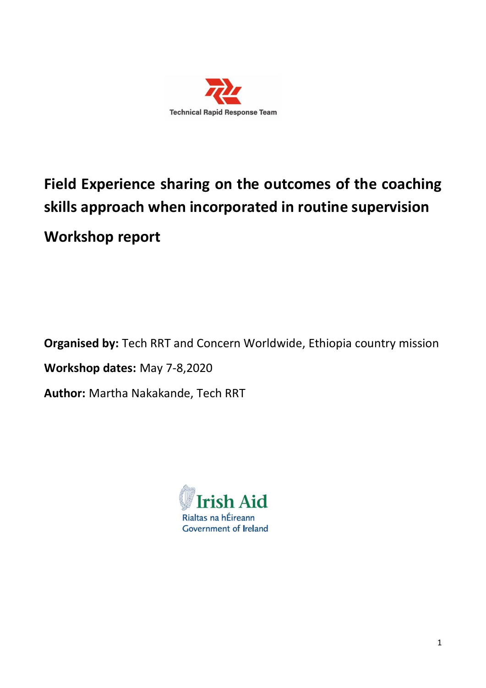

# **Field Experience sharing on the outcomes of the coaching skills approach when incorporated in routine supervision Workshop report**

**Organised by:** Tech RRT and Concern Worldwide, Ethiopia country mission **Workshop dates:** May 7-8,2020 **Author:** Martha Nakakande, Tech RRT

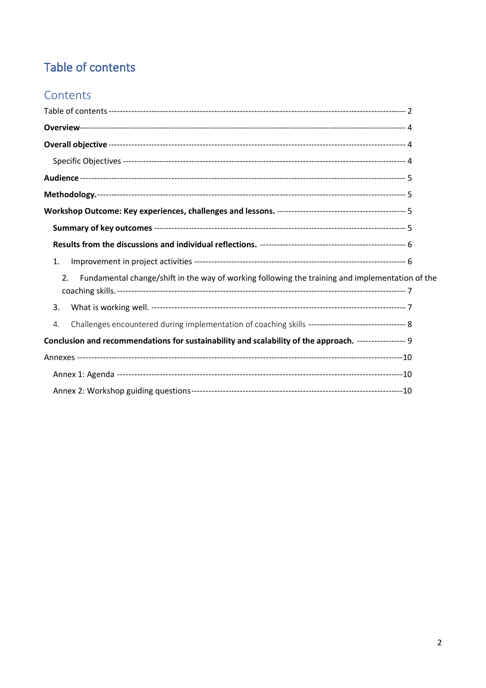# <span id="page-1-0"></span>Table of contents

# Contents

| 1.                                                                                                    |  |
|-------------------------------------------------------------------------------------------------------|--|
| Fundamental change/shift in the way of working following the training and implementation of the<br>2. |  |
|                                                                                                       |  |
| 3.                                                                                                    |  |
| 4.                                                                                                    |  |
| Conclusion and recommendations for sustainability and scalability of the approach. ---------------- 9 |  |
|                                                                                                       |  |
|                                                                                                       |  |
|                                                                                                       |  |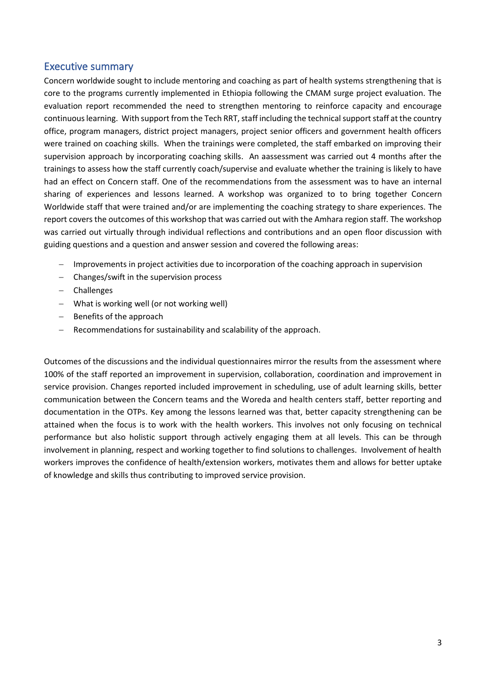### Executive summary

Concern worldwide sought to include mentoring and coaching as part of health systems strengthening that is core to the programs currently implemented in Ethiopia following the CMAM surge project evaluation. The evaluation report recommended the need to strengthen mentoring to reinforce capacity and encourage continuous learning. With support from the Tech RRT, staff including the technical support staff at the country office, program managers, district project managers, project senior officers and government health officers were trained on coaching skills. When the trainings were completed, the staff embarked on improving their supervision approach by incorporating coaching skills. An aassessment was carried out 4 months after the trainings to assess how the staff currently coach/supervise and evaluate whether the training is likely to have had an effect on Concern staff. One of the recommendations from the assessment was to have an internal sharing of experiences and lessons learned. A workshop was organized to to bring together Concern Worldwide staff that were trained and/or are implementing the coaching strategy to share experiences. The report covers the outcomes of this workshop that was carried out with the Amhara region staff. The workshop was carried out virtually through individual reflections and contributions and an open floor discussion with guiding questions and a question and answer session and covered the following areas:

- − Improvements in project activities due to incorporation of the coaching approach in supervision
- − Changes/swift in the supervision process
- − Challenges
- − What is working well (or not working well)
- − Benefits of the approach
- − Recommendations for sustainability and scalability of the approach.

Outcomes of the discussions and the individual questionnaires mirror the results from the assessment where 100% of the staff reported an improvement in supervision, collaboration, coordination and improvement in service provision. Changes reported included improvement in scheduling, use of adult learning skills, better communication between the Concern teams and the Woreda and health centers staff, better reporting and documentation in the OTPs. Key among the lessons learned was that, better capacity strengthening can be attained when the focus is to work with the health workers. This involves not only focusing on technical performance but also holistic support through actively engaging them at all levels. This can be through involvement in planning, respect and working together to find solutions to challenges. Involvement of health workers improves the confidence of health/extension workers, motivates them and allows for better uptake of knowledge and skills thus contributing to improved service provision.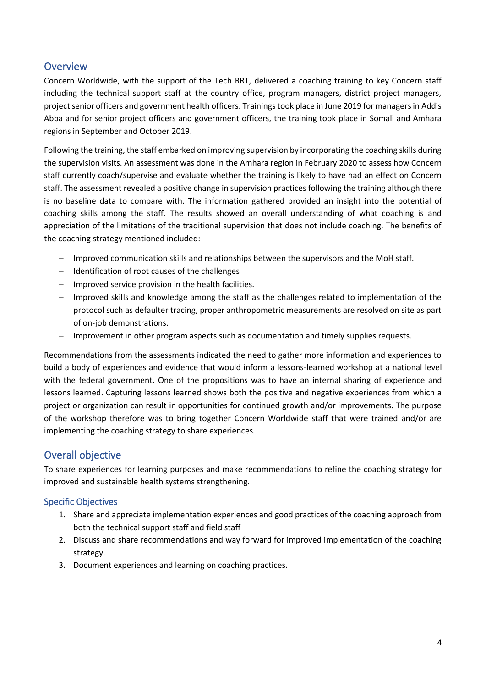# <span id="page-3-0"></span>**Overview**

Concern Worldwide, with the support of the Tech RRT, delivered a coaching training to key Concern staff including the technical support staff at the country office, program managers, district project managers, project senior officers and government health officers. Trainings took place in June 2019 for managers in Addis Abba and for senior project officers and government officers, the training took place in Somali and Amhara regions in September and October 2019.

Following the training, the staff embarked on improving supervision by incorporating the coaching skills during the supervision visits. An assessment was done in the Amhara region in February 2020 to assess how Concern staff currently coach/supervise and evaluate whether the training is likely to have had an effect on Concern staff. The assessment revealed a positive change in supervision practices following the training although there is no baseline data to compare with. The information gathered provided an insight into the potential of coaching skills among the staff. The results showed an overall understanding of what coaching is and appreciation of the limitations of the traditional supervision that does not include coaching. The benefits of the coaching strategy mentioned included:

- − Improved communication skills and relationships between the supervisors and the MoH staff.
- − Identification of root causes of the challenges
- − Improved service provision in the health facilities.
- − Improved skills and knowledge among the staff as the challenges related to implementation of the protocol such as defaulter tracing, proper anthropometric measurements are resolved on site as part of on-job demonstrations.
- − Improvement in other program aspects such as documentation and timely supplies requests.

Recommendations from the assessments indicated the need to gather more information and experiences to build a body of experiences and evidence that would inform a lessons-learned workshop at a national level with the federal government. One of the propositions was to have an internal sharing of experience and lessons learned. Capturing lessons learned shows both the positive and negative experiences from which a project or organization can result in opportunities for continued growth and/or improvements. The purpose of the workshop therefore was to bring together Concern Worldwide staff that were trained and/or are implementing the coaching strategy to share experiences.

# <span id="page-3-1"></span>Overall objective

To share experiences for learning purposes and make recommendations to refine the coaching strategy for improved and sustainable health systems strengthening.

#### <span id="page-3-2"></span>Specific Objectives

- 1. Share and appreciate implementation experiences and good practices of the coaching approach from both the technical support staff and field staff
- 2. Discuss and share recommendations and way forward for improved implementation of the coaching strategy.
- 3. Document experiences and learning on coaching practices.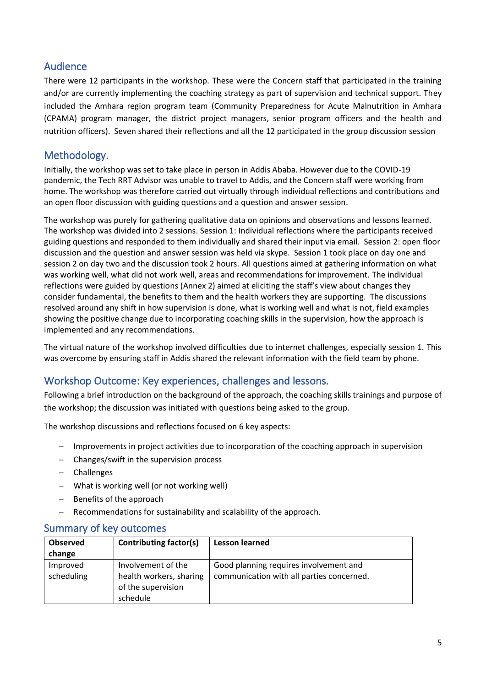# <span id="page-4-0"></span>Audience

There were 12 participants in the workshop. These were the Concern staff that participated in the training and/or are currently implementing the coaching strategy as part of supervision and technical support. They included the Amhara region program team (Community Preparedness for Acute Malnutrition in Amhara (CPAMA) program manager, the district project managers, senior program officers and the health and nutrition officers). Seven shared their reflections and all the 12 participated in the group discussion session

# <span id="page-4-1"></span>Methodology.

Initially, the workshop was set to take place in person in Addis Ababa. However due to the COVID-19 pandemic, the Tech RRT Advisor was unable to travel to Addis, and the Concern staff were working from home. The workshop was therefore carried out virtually through individual reflections and contributions and an open floor discussion with guiding questions and a question and answer session.

The workshop was purely for gathering qualitative data on opinions and observations and lessons learned. The workshop was divided into 2 sessions. Session 1: Individual reflections where the participants received guiding questions and responded to them individually and shared their input via email. Session 2: open floor discussion and the question and answer session was held via skype. Session 1 took place on day one and session 2 on day two and the discussion took 2 hours. All questions aimed at gathering information on what was working well, what did not work well, areas and recommendations for improvement. The individual reflections were guided by questions (Annex 2) aimed at eliciting the staff's view about changes they consider fundamental, the benefits to them and the health workers they are supporting. The discussions resolved around any shift in how supervision is done, what is working well and what is not, field examples showing the positive change due to incorporating coaching skills in the supervision, how the approach is implemented and any recommendations.

The virtual nature of the workshop involved difficulties due to internet challenges, especially session 1. This was overcome by ensuring staff in Addis shared the relevant information with the field team by phone.

# <span id="page-4-2"></span>Workshop Outcome: Key experiences, challenges and lessons.

Following a brief introduction on the background of the approach, the coaching skills trainings and purpose of the workshop; the discussion was initiated with questions being asked to the group.

The workshop discussions and reflections focused on 6 key aspects:

- − Improvements in project activities due to incorporation of the coaching approach in supervision
- − Changes/swift in the supervision process
- − Challenges
- − What is working well (or not working well)
- − Benefits of the approach
- Recommendations for sustainability and scalability of the approach.

#### <span id="page-4-3"></span>Summary of key outcomes

| <b>Observed</b><br>change | <b>Contributing factor(s)</b>                                                   | <b>Lesson learned</b>                                                               |
|---------------------------|---------------------------------------------------------------------------------|-------------------------------------------------------------------------------------|
| Improved<br>scheduling    | Involvement of the<br>health workers, sharing<br>of the supervision<br>schedule | Good planning requires involvement and<br>communication with all parties concerned. |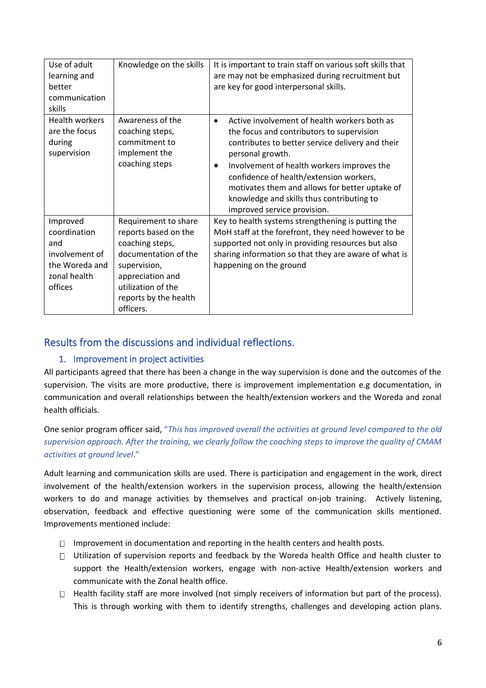| Use of adult<br>learning and<br>better<br>communication<br>skills                              | Knowledge on the skills                                                                                                                                                                 | It is important to train staff on various soft skills that<br>are may not be emphasized during recruitment but<br>are key for good interpersonal skills.                                                                                                                                                                                                                                              |
|------------------------------------------------------------------------------------------------|-----------------------------------------------------------------------------------------------------------------------------------------------------------------------------------------|-------------------------------------------------------------------------------------------------------------------------------------------------------------------------------------------------------------------------------------------------------------------------------------------------------------------------------------------------------------------------------------------------------|
| <b>Health workers</b><br>are the focus<br>during<br>supervision                                | Awareness of the<br>coaching steps,<br>commitment to<br>implement the<br>coaching steps                                                                                                 | Active involvement of health workers both as<br>$\bullet$<br>the focus and contributors to supervision<br>contributes to better service delivery and their<br>personal growth.<br>Involvement of health workers improves the<br>confidence of health/extension workers,<br>motivates them and allows for better uptake of<br>knowledge and skills thus contributing to<br>improved service provision. |
| Improved<br>coordination<br>and<br>involvement of<br>the Woreda and<br>zonal health<br>offices | Requirement to share<br>reports based on the<br>coaching steps,<br>documentation of the<br>supervision,<br>appreciation and<br>utilization of the<br>reports by the health<br>officers. | Key to health systems strengthening is putting the<br>MoH staff at the forefront, they need however to be<br>supported not only in providing resources but also<br>sharing information so that they are aware of what is<br>happening on the ground                                                                                                                                                   |

# <span id="page-5-1"></span><span id="page-5-0"></span>Results from the discussions and individual reflections.

#### 1. Improvement in project activities

All participants agreed that there has been a change in the way supervision is done and the outcomes of the supervision. The visits are more productive, there is improvement implementation e.g documentation, in communication and overall relationships between the health/extension workers and the Woreda and zonal health officials.

One senior program officer said, "*This has improved overall the activities at ground level compared to the old supervision approach. After the training, we clearly follow the coaching steps to improve the quality of CMAM activities at ground level*."

Adult learning and communication skills are used. There is participation and engagement in the work, direct involvement of the health/extension workers in the supervision process, allowing the health/extension workers to do and manage activities by themselves and practical on-job training. Actively listening, observation, feedback and effective questioning were some of the communication skills mentioned. Improvements mentioned include:

- Improvement in documentation and reporting in the health centers and health posts.
- $\Box$  Utilization of supervision reports and feedback by the Woreda health Office and health cluster to support the Health/extension workers, engage with non-active Health/extension workers and communicate with the Zonal health office.
- $\Box$  Health facility staff are more involved (not simply receivers of information but part of the process). This is through working with them to identify strengths, challenges and developing action plans.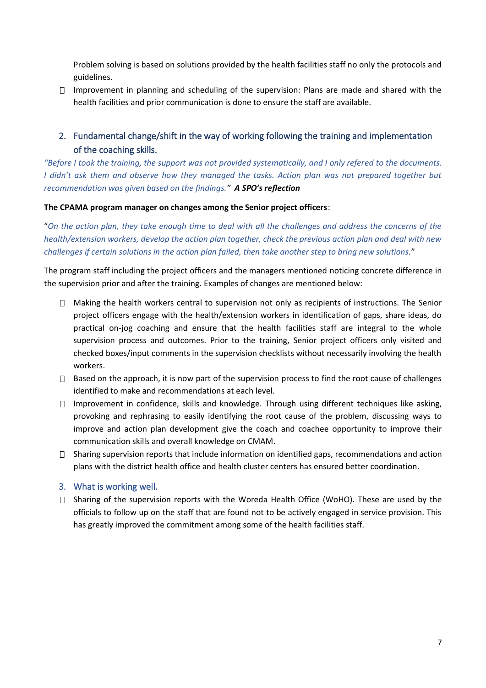Problem solving is based on solutions provided by the health facilities staff no only the protocols and guidelines.

 $\Box$  Improvement in planning and scheduling of the supervision: Plans are made and shared with the health facilities and prior communication is done to ensure the staff are available.

## <span id="page-6-0"></span>2. Fundamental change/shift in the way of working following the training and implementation of the coaching skills.

*"Before I took the training, the support was not provided systematically, and I only refered to the documents. I didn't ask them and observe how they managed the tasks. Action plan was not prepared together but recommendation was given based on the findings." A SPO's reflection*

#### **The CPAMA program manager on changes among the Senior project officers**:

"*On the action plan, they take enough time to deal with all the challenges and address the concerns of the health/extension workers, develop the action plan together, check the previous action plan and deal with new challenges if certain solutions in the action plan failed, then take another step to bring new solutions.*"

The program staff including the project officers and the managers mentioned noticing concrete difference in the supervision prior and after the training. Examples of changes are mentioned below:

- $\Box$  Making the health workers central to supervision not only as recipients of instructions. The Senior project officers engage with the health/extension workers in identification of gaps, share ideas, do practical on-jog coaching and ensure that the health facilities staff are integral to the whole supervision process and outcomes. Prior to the training, Senior project officers only visited and checked boxes/input comments in the supervision checklists without necessarily involving the health workers.
- $\Box$  Based on the approach, it is now part of the supervision process to find the root cause of challenges identified to make and recommendations at each level.
- $\Box$  Improvement in confidence, skills and knowledge. Through using different techniques like asking, provoking and rephrasing to easily identifying the root cause of the problem, discussing ways to improve and action plan development give the coach and coachee opportunity to improve their communication skills and overall knowledge on CMAM.
- $\Box$  Sharing supervision reports that include information on identified gaps, recommendations and action plans with the district health office and health cluster centers has ensured better coordination.

#### <span id="page-6-1"></span>3. What is working well.

□ Sharing of the supervision reports with the Woreda Health Office (WoHO). These are used by the officials to follow up on the staff that are found not to be actively engaged in service provision. This has greatly improved the commitment among some of the health facilities staff.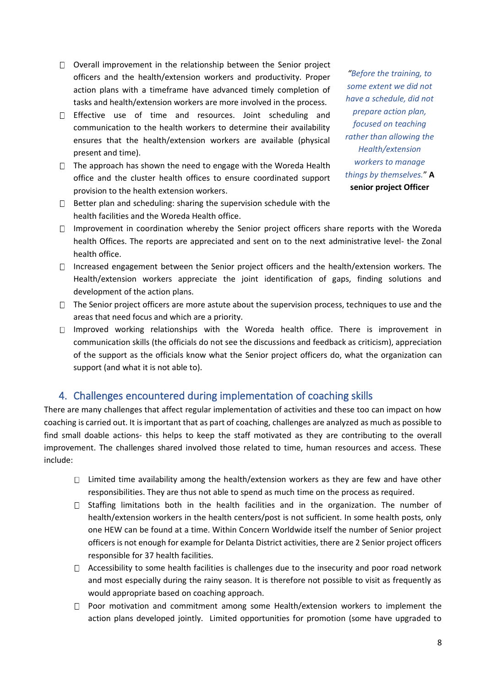- $\Box$  Overall improvement in the relationship between the Senior project officers and the health/extension workers and productivity. Proper action plans with a timeframe have advanced timely completion of tasks and health/extension workers are more involved in the process.
- $\Box$  Effective use of time and resources. Joint scheduling and communication to the health workers to determine their availability ensures that the health/extension workers are available (physical present and time).
- $\Box$  The approach has shown the need to engage with the Woreda Health office and the cluster health offices to ensure coordinated support provision to the health extension workers.
- $\Box$  Better plan and scheduling: sharing the supervision schedule with the health facilities and the Woreda Health office.
- $\Box$  Improvement in coordination whereby the Senior project officers share reports with the Woreda health Offices. The reports are appreciated and sent on to the next administrative level- the Zonal health office.
- Increased engagement between the Senior project officers and the health/extension workers. The Health/extension workers appreciate the joint identification of gaps, finding solutions and development of the action plans.
- $\Box$  The Senior project officers are more astute about the supervision process, techniques to use and the areas that need focus and which are a priority.
- $\Box$  Improved working relationships with the Woreda health office. There is improvement in communication skills (the officials do not see the discussions and feedback as criticism), appreciation of the support as the officials know what the Senior project officers do, what the organization can support (and what it is not able to).

# <span id="page-7-0"></span>4. Challenges encountered during implementation of coaching skills

There are many challenges that affect regular implementation of activities and these too can impact on how coaching is carried out. It is important that as part of coaching, challenges are analyzed as much as possible to find small doable actions- this helps to keep the staff motivated as they are contributing to the overall improvement. The challenges shared involved those related to time, human resources and access. These include:

- $\Box$  Limited time availability among the health/extension workers as they are few and have other responsibilities. They are thus not able to spend as much time on the process as required.
- $\Box$  Staffing limitations both in the health facilities and in the organization. The number of health/extension workers in the health centers/post is not sufficient. In some health posts, only one HEW can be found at a time. Within Concern Worldwide itself the number of Senior project officers is not enough for example for Delanta District activities, there are 2 Senior project officers responsible for 37 health facilities.
- $\Box$  Accessibility to some health facilities is challenges due to the insecurity and poor road network and most especially during the rainy season. It is therefore not possible to visit as frequently as would appropriate based on coaching approach.
- $\Box$  Poor motivation and commitment among some Health/extension workers to implement the action plans developed jointly. Limited opportunities for promotion (some have upgraded to

*"Before the training, to some extent we did not have a schedule, did not prepare action plan, focused on teaching rather than allowing the Health/extension workers to manage things by themselves.*" **A senior project Officer**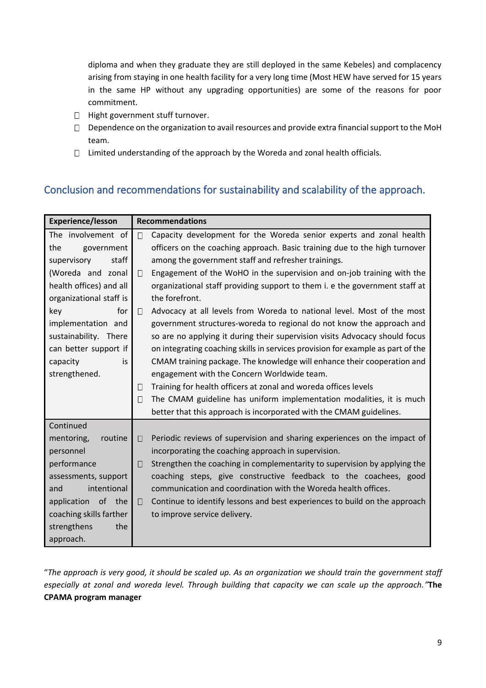diploma and when they graduate they are still deployed in the same Kebeles) and complacency arising from staying in one health facility for a very long time (Most HEW have served for 15 years in the same HP without any upgrading opportunities) are some of the reasons for poor commitment.

- □ Hight government stuff turnover.
- Dependence on the organization to avail resources and provide extra financial support to the MoH team.
- $\Box$  Limited understanding of the approach by the Woreda and zonal health officials.

# <span id="page-8-0"></span>Conclusion and recommendations for sustainability and scalability of the approach.

| <b>Experience/lesson</b> | <b>Recommendations</b>                                                               |  |  |
|--------------------------|--------------------------------------------------------------------------------------|--|--|
| The involvement of       | Capacity development for the Woreda senior experts and zonal health<br>$\Box$        |  |  |
| the<br>government        | officers on the coaching approach. Basic training due to the high turnover           |  |  |
| supervisory<br>staff     | among the government staff and refresher trainings.                                  |  |  |
| (Woreda and zonal        | Engagement of the WoHO in the supervision and on-job training with the<br>$\Box$     |  |  |
| health offices) and all  | organizational staff providing support to them i. e the government staff at          |  |  |
| organizational staff is  | the forefront.                                                                       |  |  |
| for<br>key               | Advocacy at all levels from Woreda to national level. Most of the most<br>$\Box$     |  |  |
| implementation and       | government structures-woreda to regional do not know the approach and                |  |  |
| sustainability. There    | so are no applying it during their supervision visits Advocacy should focus          |  |  |
| can better support if    | on integrating coaching skills in services provision for example as part of the      |  |  |
| capacity<br>is           | CMAM training package. The knowledge will enhance their cooperation and              |  |  |
| strengthened.            | engagement with the Concern Worldwide team.                                          |  |  |
|                          | Training for health officers at zonal and woreda offices levels<br>$\Box$            |  |  |
|                          | The CMAM guideline has uniform implementation modalities, it is much<br>$\Box$       |  |  |
|                          | better that this approach is incorporated with the CMAM guidelines.                  |  |  |
| Continued                |                                                                                      |  |  |
| routine<br>mentoring,    | Periodic reviews of supervision and sharing experiences on the impact of<br>$\Box$   |  |  |
| personnel                | incorporating the coaching approach in supervision.                                  |  |  |
| performance              | Strengthen the coaching in complementarity to supervision by applying the<br>П       |  |  |
| assessments, support     | coaching steps, give constructive feedback to the coachees, good                     |  |  |
| intentional<br>and       | communication and coordination with the Woreda health offices.                       |  |  |
| application of the       | Continue to identify lessons and best experiences to build on the approach<br>$\Box$ |  |  |
| coaching skills farther  | to improve service delivery.                                                         |  |  |
| strengthens<br>the       |                                                                                      |  |  |
| approach.                |                                                                                      |  |  |

<span id="page-8-1"></span>"*The approach is very good, it should be scaled up. As an organization we should train the government staff especially at zonal and woreda level. Through building that capacity we can scale up the approach."***The CPAMA program manager**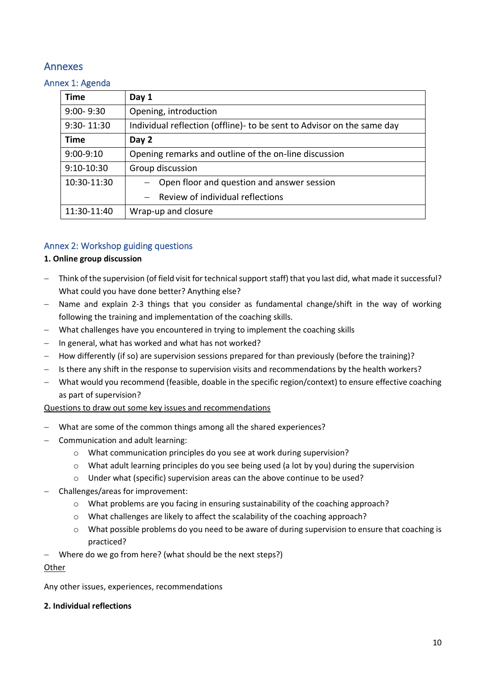# Annexes

#### <span id="page-9-0"></span>Annex 1: Agenda

| <b>Time</b>    | Day 1                                                                   |
|----------------|-------------------------------------------------------------------------|
| $9:00 - 9:30$  | Opening, introduction                                                   |
| $9:30 - 11:30$ | Individual reflection (offline) - to be sent to Advisor on the same day |
| <b>Time</b>    | Day 2                                                                   |
| $9:00 - 9:10$  | Opening remarks and outline of the on-line discussion                   |
| $9:10-10:30$   | Group discussion                                                        |
| 10:30-11:30    | Open floor and question and answer session                              |
|                | $-$ Review of individual reflections                                    |
| 11:30-11:40    | Wrap-up and closure                                                     |

#### <span id="page-9-1"></span>Annex 2: Workshop guiding questions

#### **1. Online group discussion**

- Think of the supervision (of field visit for technical support staff) that you last did, what made it successful? What could you have done better? Anything else?
- − Name and explain 2-3 things that you consider as fundamental change/shift in the way of working following the training and implementation of the coaching skills.
- − What challenges have you encountered in trying to implement the coaching skills
- − In general, what has worked and what has not worked?
- − How differently (if so) are supervision sessions prepared for than previously (before the training)?
- − Is there any shift in the response to supervision visits and recommendations by the health workers?
- − What would you recommend (feasible, doable in the specific region/context) to ensure effective coaching as part of supervision?

#### Questions to draw out some key issues and recommendations

- − What are some of the common things among all the shared experiences?
- − Communication and adult learning:
	- o What communication principles do you see at work during supervision?
	- o What adult learning principles do you see being used (a lot by you) during the supervision
	- o Under what (specific) supervision areas can the above continue to be used?
- − Challenges/areas for improvement:
	- $\circ$  What problems are you facing in ensuring sustainability of the coaching approach?
	- o What challenges are likely to affect the scalability of the coaching approach?
	- o What possible problems do you need to be aware of during supervision to ensure that coaching is practiced?
- Where do we go from here? (what should be the next steps?)

#### **Other**

Any other issues, experiences, recommendations

#### **2. Individual reflections**